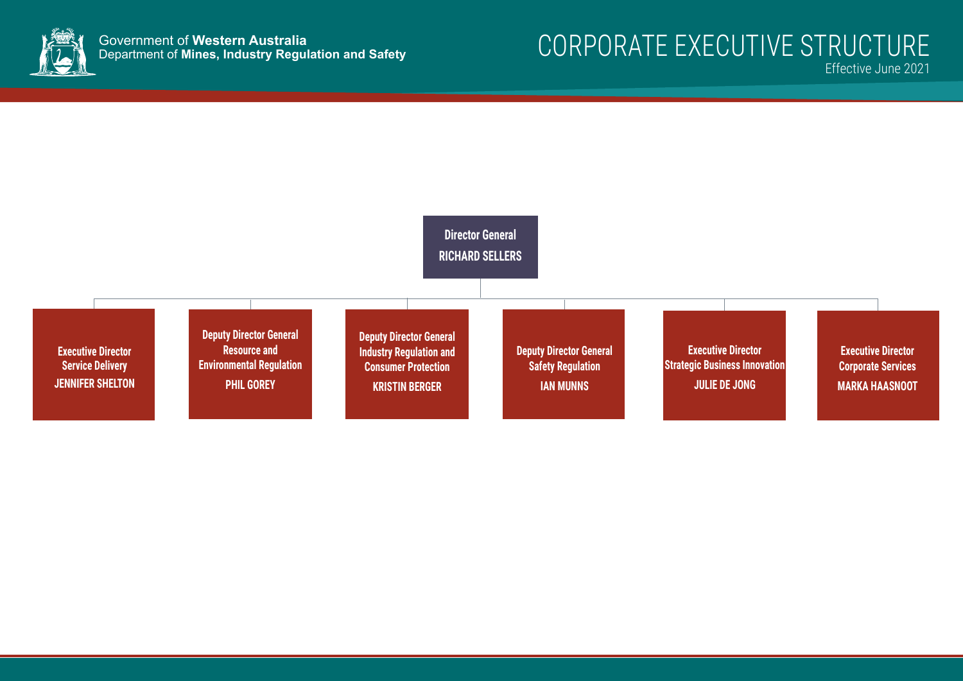